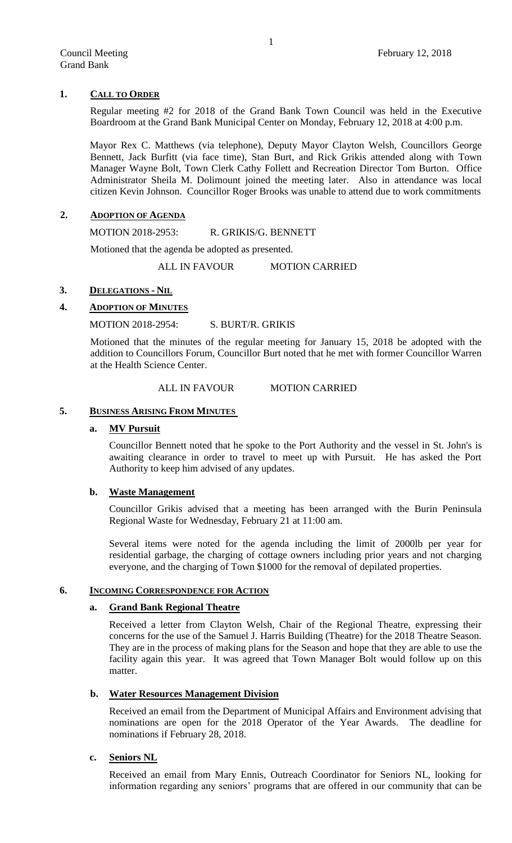### **1. CALL TO ORDER**

Regular meeting #2 for 2018 of the Grand Bank Town Council was held in the Executive Boardroom at the Grand Bank Municipal Center on Monday, February 12, 2018 at 4:00 p.m.

Mayor Rex C. Matthews (via telephone), Deputy Mayor Clayton Welsh, Councillors George Bennett, Jack Burfitt (via face time), Stan Burt, and Rick Grikis attended along with Town Manager Wayne Bolt, Town Clerk Cathy Follett and Recreation Director Tom Burton. Office Administrator Sheila M. Dolimount joined the meeting later. Also in attendance was local citizen Kevin Johnson. Councillor Roger Brooks was unable to attend due to work commitments

#### **2. ADOPTION OF AGENDA**

MOTION 2018-2953: R. GRIKIS/G. BENNETT

Motioned that the agenda be adopted as presented.

ALL IN FAVOUR MOTION CARRIED

### **3. DELEGATIONS - NIL**

# **4. ADOPTION OF MINUTES**

# MOTION 2018-2954: S. BURT/R. GRIKIS

Motioned that the minutes of the regular meeting for January 15, 2018 be adopted with the addition to Councillors Forum, Councillor Burt noted that he met with former Councillor Warren at the Health Science Center.

### ALL IN FAVOUR MOTION CARRIED

### **5. BUSINESS ARISING FROM MINUTES**

#### **a. MV Pursuit**

Councillor Bennett noted that he spoke to the Port Authority and the vessel in St. John's is awaiting clearance in order to travel to meet up with Pursuit. He has asked the Port Authority to keep him advised of any updates.

#### **b. Waste Management**

Councillor Grikis advised that a meeting has been arranged with the Burin Peninsula Regional Waste for Wednesday, February 21 at 11:00 am.

Several items were noted for the agenda including the limit of 2000lb per year for residential garbage, the charging of cottage owners including prior years and not charging everyone, and the charging of Town \$1000 for the removal of depilated properties.

#### **6. INCOMING CORRESPONDENCE FOR ACTION**

#### **a. Grand Bank Regional Theatre**

Received a letter from Clayton Welsh, Chair of the Regional Theatre, expressing their concerns for the use of the Samuel J. Harris Building (Theatre) for the 2018 Theatre Season. They are in the process of making plans for the Season and hope that they are able to use the facility again this year. It was agreed that Town Manager Bolt would follow up on this matter.

#### **b. Water Resources Management Division**

Received an email from the Department of Municipal Affairs and Environment advising that nominations are open for the 2018 Operator of the Year Awards. The deadline for nominations if February 28, 2018.

# **c. Seniors NL**

Received an email from Mary Ennis, Outreach Coordinator for Seniors NL, looking for information regarding any seniors' programs that are offered in our community that can be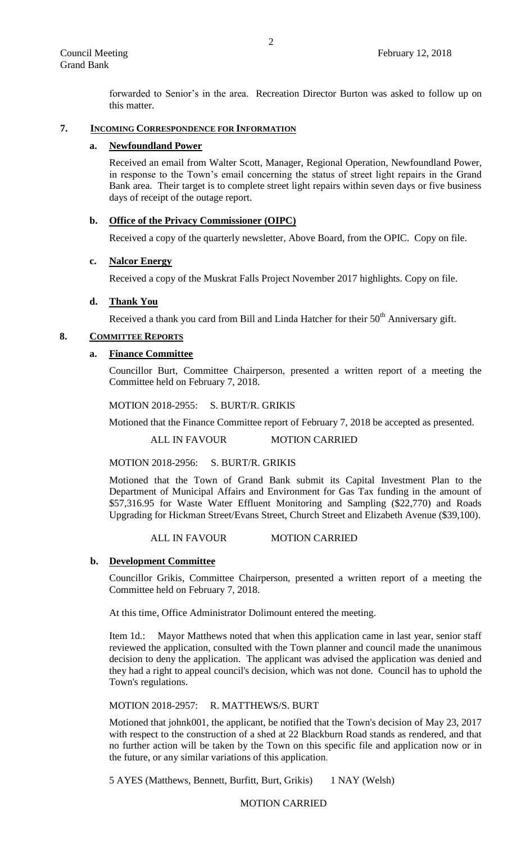forwarded to Senior's in the area. Recreation Director Burton was asked to follow up on this matter.

# **7. INCOMING CORRESPONDENCE FOR INFORMATION**

#### **a. Newfoundland Power**

Received an email from Walter Scott, Manager, Regional Operation, Newfoundland Power, in response to the Town's email concerning the status of street light repairs in the Grand Bank area. Their target is to complete street light repairs within seven days or five business days of receipt of the outage report.

### **b. Office of the Privacy Commissioner (OIPC)**

Received a copy of the quarterly newsletter, Above Board, from the OPIC. Copy on file.

### **c. Nalcor Energy**

Received a copy of the Muskrat Falls Project November 2017 highlights. Copy on file.

# **d. Thank You**

Received a thank you card from Bill and Linda Hatcher for their  $50<sup>th</sup>$  Anniversary gift.

### **8. COMMITTEE REPORTS**

### **a. Finance Committee**

Councillor Burt, Committee Chairperson, presented a written report of a meeting the Committee held on February 7, 2018.

MOTION 2018-2955: S. BURT/R. GRIKIS

Motioned that the Finance Committee report of February 7, 2018 be accepted as presented.

ALL IN FAVOUR MOTION CARRIED

MOTION 2018-2956: S. BURT/R. GRIKIS

Motioned that the Town of Grand Bank submit its Capital Investment Plan to the Department of Municipal Affairs and Environment for Gas Tax funding in the amount of \$57,316.95 for Waste Water Effluent Monitoring and Sampling (\$22,770) and Roads Upgrading for Hickman Street/Evans Street, Church Street and Elizabeth Avenue (\$39,100).

#### ALL IN FAVOUR MOTION CARRIED

# **b. Development Committee**

Councillor Grikis, Committee Chairperson, presented a written report of a meeting the Committee held on February 7, 2018.

At this time, Office Administrator Dolimount entered the meeting.

Item 1d.: Mayor Matthews noted that when this application came in last year, senior staff reviewed the application, consulted with the Town planner and council made the unanimous decision to deny the application. The applicant was advised the application was denied and they had a right to appeal council's decision, which was not done. Council has to uphold the Town's regulations.

#### MOTION 2018-2957: R. MATTHEWS/S. BURT

Motioned that johnk001, the applicant, be notified that the Town's decision of May 23, 2017 with respect to the construction of a shed at 22 Blackburn Road stands as rendered, and that no further action will be taken by the Town on this specific file and application now or in the future, or any similar variations of this application.

5 AYES (Matthews, Bennett, Burfitt, Burt, Grikis) 1 NAY (Welsh)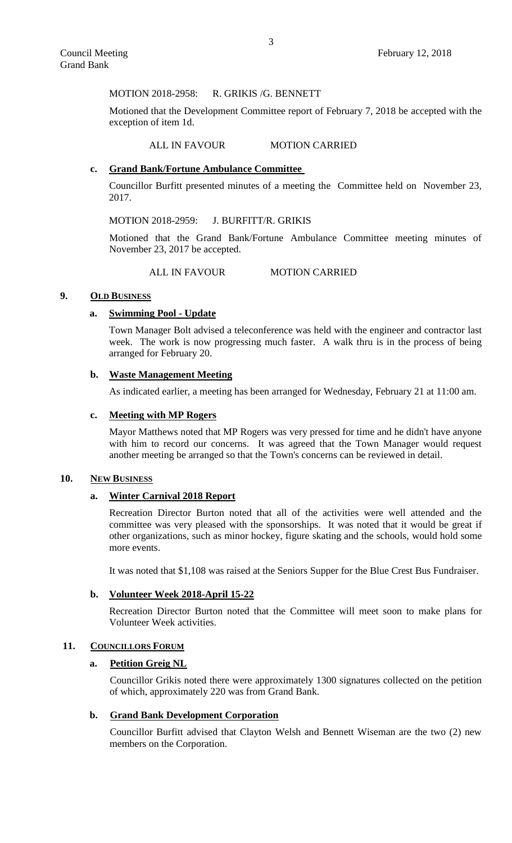MOTION 2018-2958: R. GRIKIS /G. BENNETT

Motioned that the Development Committee report of February 7, 2018 be accepted with the exception of item 1d.

### ALL IN FAVOUR MOTION CARRIED

# **c. Grand Bank/Fortune Ambulance Committee**

Councillor Burfitt presented minutes of a meeting the Committee held on November 23, 2017.

### MOTION 2018-2959: J. BURFITT/R. GRIKIS

Motioned that the Grand Bank/Fortune Ambulance Committee meeting minutes of November 23, 2017 be accepted.

ALL IN FAVOUR MOTION CARRIED

### **9. OLD BUSINESS**

#### **a. Swimming Pool - Update**

Town Manager Bolt advised a teleconference was held with the engineer and contractor last week. The work is now progressing much faster. A walk thru is in the process of being arranged for February 20.

### **b. Waste Management Meeting**

As indicated earlier, a meeting has been arranged for Wednesday, February 21 at 11:00 am.

#### **c. Meeting with MP Rogers**

Mayor Matthews noted that MP Rogers was very pressed for time and he didn't have anyone with him to record our concerns. It was agreed that the Town Manager would request another meeting be arranged so that the Town's concerns can be reviewed in detail.

#### **10. NEW BUSINESS**

#### **a. Winter Carnival 2018 Report**

Recreation Director Burton noted that all of the activities were well attended and the committee was very pleased with the sponsorships. It was noted that it would be great if other organizations, such as minor hockey, figure skating and the schools, would hold some more events.

It was noted that \$1,108 was raised at the Seniors Supper for the Blue Crest Bus Fundraiser.

### **b. Volunteer Week 2018-April 15-22**

Recreation Director Burton noted that the Committee will meet soon to make plans for Volunteer Week activities.

#### 11. **COUNCILLORS FORUM**

### **a. Petition Greig NL**

Councillor Grikis noted there were approximately 1300 signatures collected on the petition of which, approximately 220 was from Grand Bank.

### **b. Grand Bank Development Corporation**

Councillor Burfitt advised that Clayton Welsh and Bennett Wiseman are the two (2) new members on the Corporation.